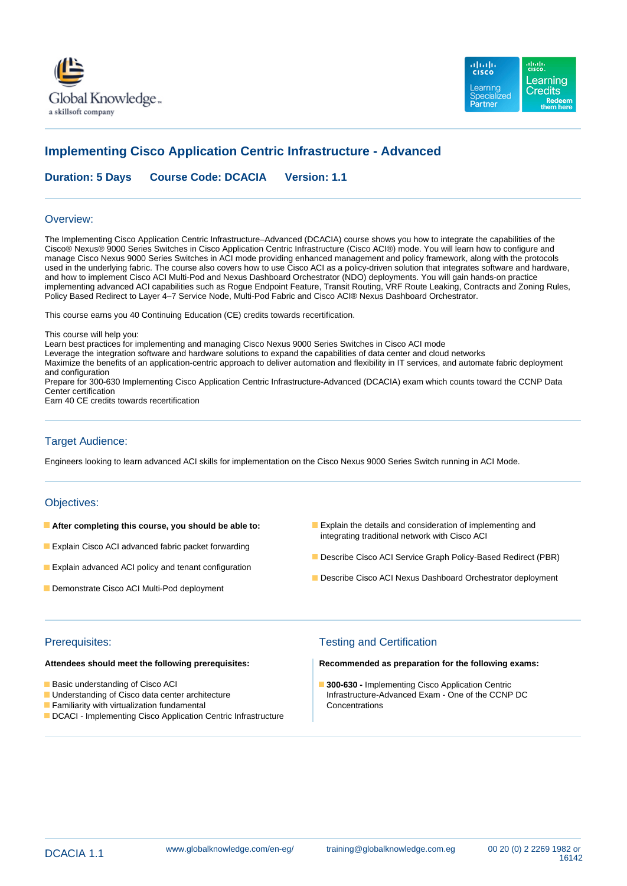



# **Implementing Cisco Application Centric Infrastructure - Advanced**

**Duration: 5 Days Course Code: DCACIA Version: 1.1**

### Overview:

The Implementing Cisco Application Centric Infrastructure–Advanced (DCACIA) course shows you how to integrate the capabilities of the Cisco® Nexus® 9000 Series Switches in Cisco Application Centric Infrastructure (Cisco ACI®) mode. You will learn how to configure and manage Cisco Nexus 9000 Series Switches in ACI mode providing enhanced management and policy framework, along with the protocols used in the underlying fabric. The course also covers how to use Cisco ACI as a policy-driven solution that integrates software and hardware, and how to implement Cisco ACI Multi-Pod and Nexus Dashboard Orchestrator (NDO) deployments. You will gain hands-on practice implementing advanced ACI capabilities such as Rogue Endpoint Feature, Transit Routing, VRF Route Leaking, Contracts and Zoning Rules, Policy Based Redirect to Layer 4–7 Service Node, Multi-Pod Fabric and Cisco ACI® Nexus Dashboard Orchestrator.

This course earns you 40 Continuing Education (CE) credits towards recertification.

This course will help you:

Learn best practices for implementing and managing Cisco Nexus 9000 Series Switches in Cisco ACI mode

Leverage the integration software and hardware solutions to expand the capabilities of data center and cloud networks Maximize the benefits of an application-centric approach to deliver automation and flexibility in IT services, and automate fabric deployment and configuration

Prepare for 300-630 Implementing Cisco Application Centric Infrastructure-Advanced (DCACIA) exam which counts toward the CCNP Data Center certification

Earn 40 CE credits towards recertification

### Target Audience:

Engineers looking to learn advanced ACI skills for implementation on the Cisco Nexus 9000 Series Switch running in ACI Mode.

### Objectives:

- 
- **Explain Cisco ACI advanced fabric packet forwarding**
- **Explain advanced ACI policy and tenant configuration**
- Demonstrate Cisco ACI Multi-Pod deployment
- **After completing this course, you should be able to: Explain the details and consideration of implementing and** integrating traditional network with Cisco ACI
	- Describe Cisco ACI Service Graph Policy-Based Redirect (PBR)
	- Describe Cisco ACI Nexus Dashboard Orchestrator deployment

- 
- 
- **Examiliarity with virtualization fundamental Concentrations** Concentrations
- DCACI Implementing Cisco Application Centric Infrastructure

## Prerequisites: Testing and Certification

**Attendees should meet the following prerequisites: Recommended as preparation for the following exams:**

■Basic understanding of Cisco ACI **300-630 - Implementing Cisco Application Centric** ■ Understanding of Cisco data center architecture **Infrastructure-Advanced Exam - One of the CCNP DC**